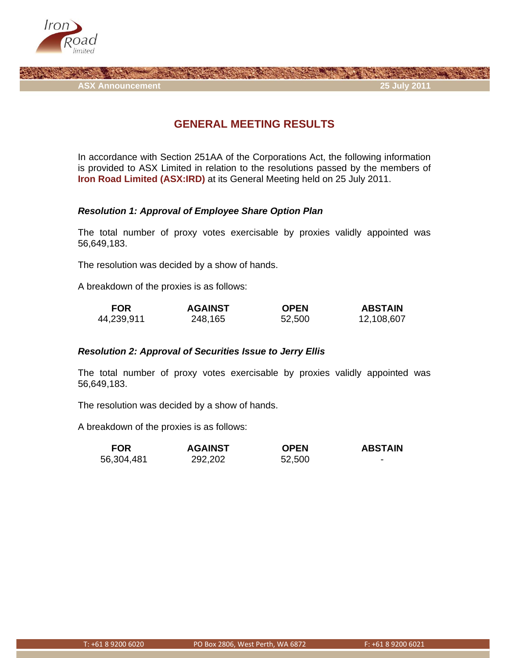

**ASX Announcement 25 July 2011** 

# **GENERAL MEETING RESULTS**

In accordance with Section 251AA of the Corporations Act, the following information is provided to ASX Limited in relation to the resolutions passed by the members of **Iron Road Limited (ASX:IRD)** at its General Meeting held on 25 July 2011.

### *Resolution 1: Approval of Employee Share Option Plan*

The total number of proxy votes exercisable by proxies validly appointed was 56,649,183.

The resolution was decided by a show of hands.

A breakdown of the proxies is as follows:

| <b>FOR</b> | <b>AGAINST</b> | <b>OPEN</b> | <b>ABSTAIN</b> |
|------------|----------------|-------------|----------------|
| 44,239,911 | 248,165        | 52,500      | 12,108,607     |

#### *Resolution 2: Approval of Securities Issue to Jerry Ellis*

The total number of proxy votes exercisable by proxies validly appointed was 56,649,183.

The resolution was decided by a show of hands.

A breakdown of the proxies is as follows:

| <b>FOR</b> | <b>AGAINST</b> | <b>OPEN</b> | <b>ABSTAIN</b> |
|------------|----------------|-------------|----------------|
| 56,304,481 | 292,202        | 52,500      |                |